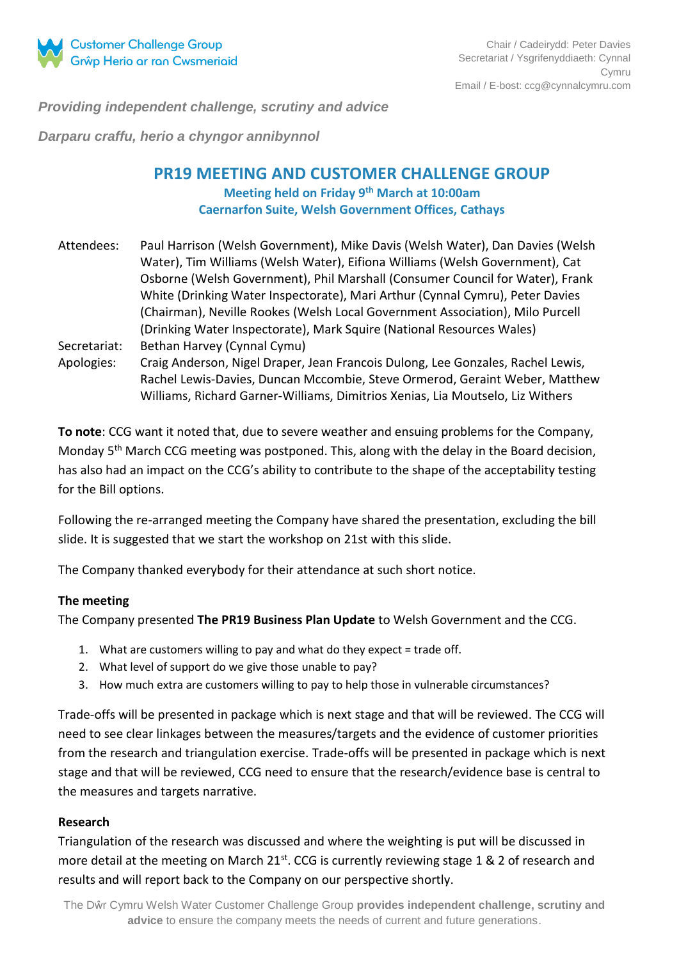

*Providing independent challenge, scrutiny and advice*

*Darparu craffu, herio a chyngor annibynnol*

# **PR19 MEETING AND CUSTOMER CHALLENGE GROUP Meeting held on Friday 9th March at 10:00am Caernarfon Suite, Welsh Government Offices, Cathays**

- Attendees: Paul Harrison (Welsh Government), Mike Davis (Welsh Water), Dan Davies (Welsh Water), Tim Williams (Welsh Water), Eifiona Williams (Welsh Government), Cat Osborne (Welsh Government), Phil Marshall (Consumer Council for Water), Frank White (Drinking Water Inspectorate), Mari Arthur (Cynnal Cymru), Peter Davies (Chairman), Neville Rookes (Welsh Local Government Association), Milo Purcell (Drinking Water Inspectorate), Mark Squire (National Resources Wales) Secretariat: Bethan Harvey (Cynnal Cymu)
- Apologies: Craig Anderson, Nigel Draper, Jean Francois Dulong, Lee Gonzales, Rachel Lewis, Rachel Lewis-Davies, Duncan Mccombie, Steve Ormerod, Geraint Weber, Matthew Williams, Richard Garner-Williams, Dimitrios Xenias, Lia Moutselo, Liz Withers

**To note**: CCG want it noted that, due to severe weather and ensuing problems for the Company, Monday 5<sup>th</sup> March CCG meeting was postponed. This, along with the delay in the Board decision, has also had an impact on the CCG's ability to contribute to the shape of the acceptability testing for the Bill options.

Following the re-arranged meeting the Company have shared the presentation, excluding the bill slide. It is suggested that we start the workshop on 21st with this slide.

The Company thanked everybody for their attendance at such short notice.

#### **The meeting**

The Company presented **The PR19 Business Plan Update** to Welsh Government and the CCG.

- 1. What are customers willing to pay and what do they expect = trade off.
- 2. What level of support do we give those unable to pay?
- 3. How much extra are customers willing to pay to help those in vulnerable circumstances?

Trade-offs will be presented in package which is next stage and that will be reviewed. The CCG will need to see clear linkages between the measures/targets and the evidence of customer priorities from the research and triangulation exercise. Trade-offs will be presented in package which is next stage and that will be reviewed, CCG need to ensure that the research/evidence base is central to the measures and targets narrative.

#### **Research**

Triangulation of the research was discussed and where the weighting is put will be discussed in more detail at the meeting on March  $21^{st}$ . CCG is currently reviewing stage 1 & 2 of research and results and will report back to the Company on our perspective shortly.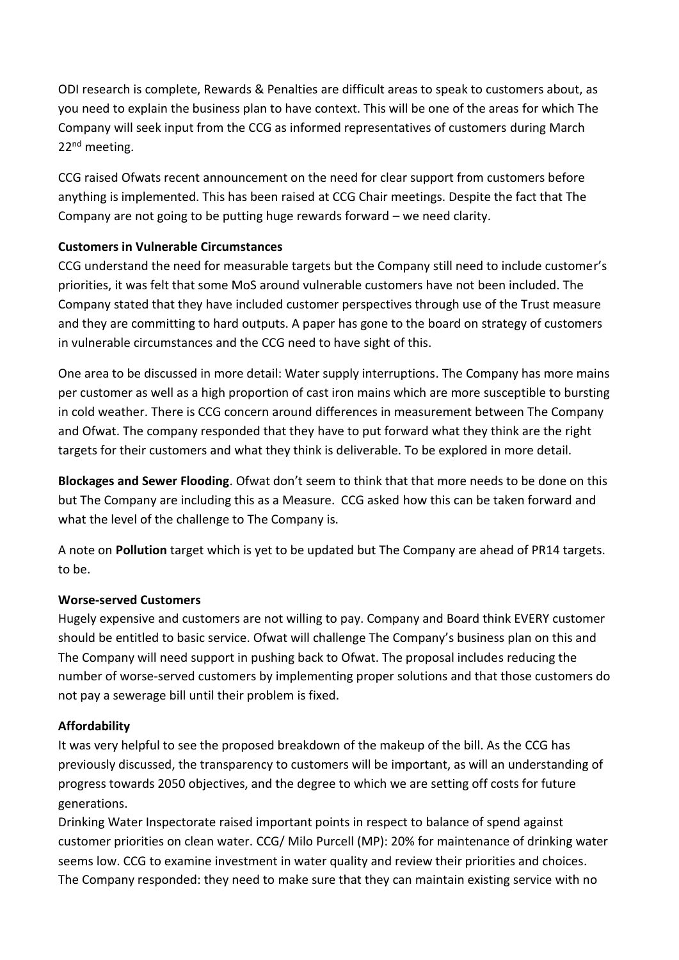ODI research is complete, Rewards & Penalties are difficult areas to speak to customers about, as you need to explain the business plan to have context. This will be one of the areas for which The Company will seek input from the CCG as informed representatives of customers during March 22<sup>nd</sup> meeting.

CCG raised Ofwats recent announcement on the need for clear support from customers before anything is implemented. This has been raised at CCG Chair meetings. Despite the fact that The Company are not going to be putting huge rewards forward – we need clarity.

### **Customers in Vulnerable Circumstances**

CCG understand the need for measurable targets but the Company still need to include customer's priorities, it was felt that some MoS around vulnerable customers have not been included. The Company stated that they have included customer perspectives through use of the Trust measure and they are committing to hard outputs. A paper has gone to the board on strategy of customers in vulnerable circumstances and the CCG need to have sight of this.

One area to be discussed in more detail: Water supply interruptions. The Company has more mains per customer as well as a high proportion of cast iron mains which are more susceptible to bursting in cold weather. There is CCG concern around differences in measurement between The Company and Ofwat. The company responded that they have to put forward what they think are the right targets for their customers and what they think is deliverable. To be explored in more detail.

**Blockages and Sewer Flooding**. Ofwat don't seem to think that that more needs to be done on this but The Company are including this as a Measure. CCG asked how this can be taken forward and what the level of the challenge to The Company is.

A note on **Pollution** target which is yet to be updated but The Company are ahead of PR14 targets. to be.

### **Worse-served Customers**

Hugely expensive and customers are not willing to pay. Company and Board think EVERY customer should be entitled to basic service. Ofwat will challenge The Company's business plan on this and The Company will need support in pushing back to Ofwat. The proposal includes reducing the number of worse-served customers by implementing proper solutions and that those customers do not pay a sewerage bill until their problem is fixed.

## **Affordability**

It was very helpful to see the proposed breakdown of the makeup of the bill. As the CCG has previously discussed, the transparency to customers will be important, as will an understanding of progress towards 2050 objectives, and the degree to which we are setting off costs for future generations.

Drinking Water Inspectorate raised important points in respect to balance of spend against customer priorities on clean water. CCG/ Milo Purcell (MP): 20% for maintenance of drinking water seems low. CCG to examine investment in water quality and review their priorities and choices. The Company responded: they need to make sure that they can maintain existing service with no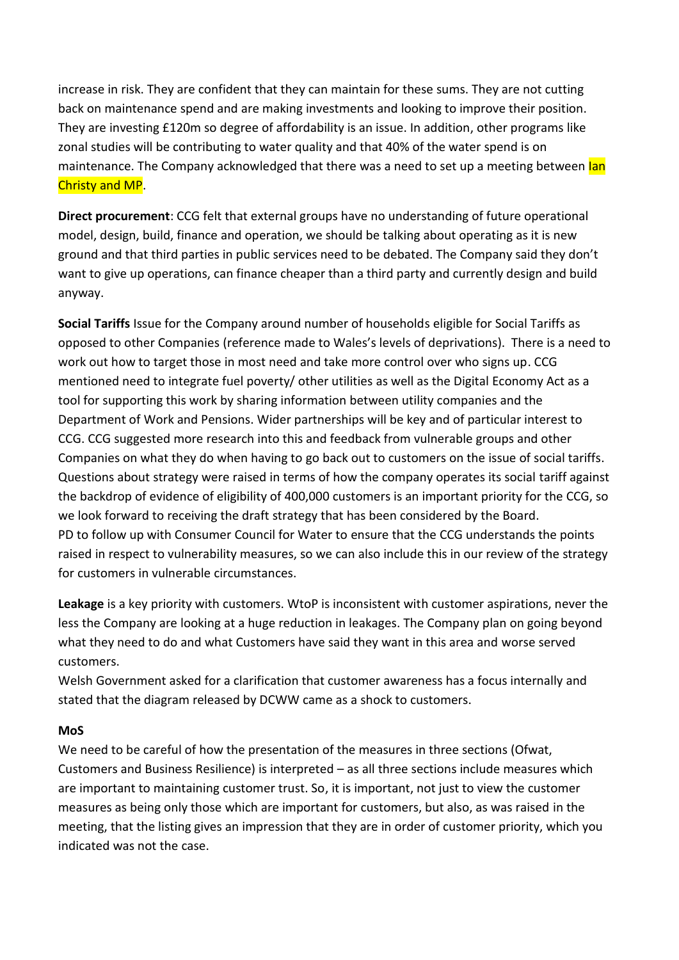increase in risk. They are confident that they can maintain for these sums. They are not cutting back on maintenance spend and are making investments and looking to improve their position. They are investing £120m so degree of affordability is an issue. In addition, other programs like zonal studies will be contributing to water quality and that 40% of the water spend is on maintenance. The Company acknowledged that there was a need to set up a meeting between lan Christy and MP.

**Direct procurement**: CCG felt that external groups have no understanding of future operational model, design, build, finance and operation, we should be talking about operating as it is new ground and that third parties in public services need to be debated. The Company said they don't want to give up operations, can finance cheaper than a third party and currently design and build anyway.

**Social Tariffs** Issue for the Company around number of households eligible for Social Tariffs as opposed to other Companies (reference made to Wales's levels of deprivations). There is a need to work out how to target those in most need and take more control over who signs up. CCG mentioned need to integrate fuel poverty/ other utilities as well as the Digital Economy Act as a tool for supporting this work by sharing information between utility companies and the Department of Work and Pensions. Wider partnerships will be key and of particular interest to CCG. CCG suggested more research into this and feedback from vulnerable groups and other Companies on what they do when having to go back out to customers on the issue of social tariffs. Questions about strategy were raised in terms of how the company operates its social tariff against the backdrop of evidence of eligibility of 400,000 customers is an important priority for the CCG, so we look forward to receiving the draft strategy that has been considered by the Board. PD to follow up with Consumer Council for Water to ensure that the CCG understands the points raised in respect to vulnerability measures, so we can also include this in our review of the strategy for customers in vulnerable circumstances.

**Leakage** is a key priority with customers. WtoP is inconsistent with customer aspirations, never the less the Company are looking at a huge reduction in leakages. The Company plan on going beyond what they need to do and what Customers have said they want in this area and worse served customers.

Welsh Government asked for a clarification that customer awareness has a focus internally and stated that the diagram released by DCWW came as a shock to customers.

### **MoS**

We need to be careful of how the presentation of the measures in three sections (Ofwat, Customers and Business Resilience) is interpreted – as all three sections include measures which are important to maintaining customer trust. So, it is important, not just to view the customer measures as being only those which are important for customers, but also, as was raised in the meeting, that the listing gives an impression that they are in order of customer priority, which you indicated was not the case.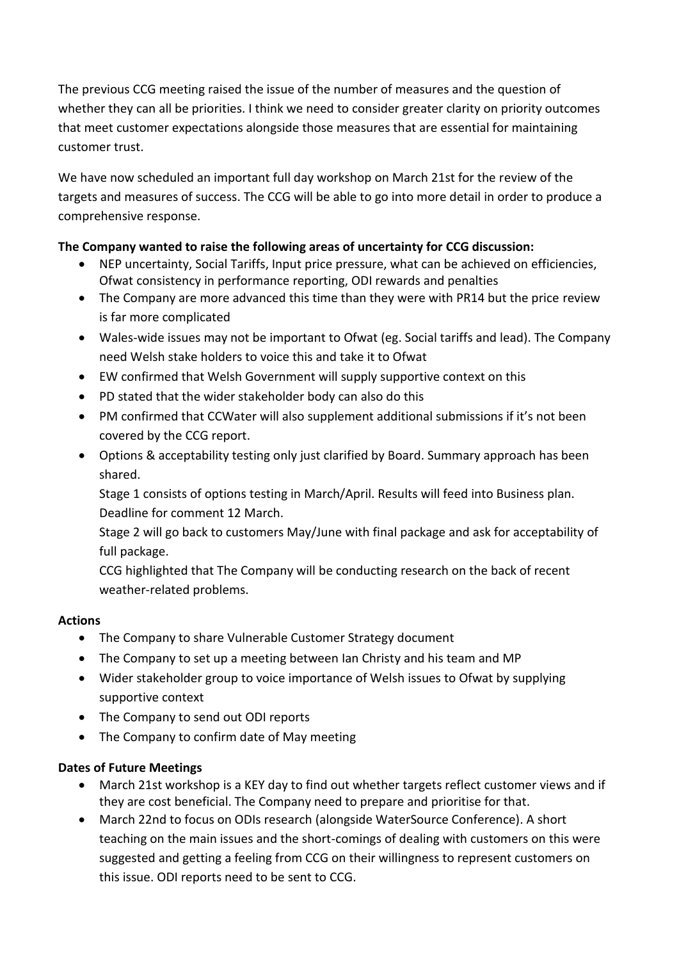The previous CCG meeting raised the issue of the number of measures and the question of whether they can all be priorities. I think we need to consider greater clarity on priority outcomes that meet customer expectations alongside those measures that are essential for maintaining customer trust.

We have now scheduled an important full day workshop on March 21st for the review of the targets and measures of success. The CCG will be able to go into more detail in order to produce a comprehensive response.

## **The Company wanted to raise the following areas of uncertainty for CCG discussion:**

- NEP uncertainty, Social Tariffs, Input price pressure, what can be achieved on efficiencies, Ofwat consistency in performance reporting, ODI rewards and penalties
- The Company are more advanced this time than they were with PR14 but the price review is far more complicated
- Wales-wide issues may not be important to Ofwat (eg. Social tariffs and lead). The Company need Welsh stake holders to voice this and take it to Ofwat
- EW confirmed that Welsh Government will supply supportive context on this
- PD stated that the wider stakeholder body can also do this
- PM confirmed that CCWater will also supplement additional submissions if it's not been covered by the CCG report.
- Options & acceptability testing only just clarified by Board. Summary approach has been shared.

Stage 1 consists of options testing in March/April. Results will feed into Business plan. Deadline for comment 12 March.

Stage 2 will go back to customers May/June with final package and ask for acceptability of full package.

CCG highlighted that The Company will be conducting research on the back of recent weather-related problems.

### **Actions**

- The Company to share Vulnerable Customer Strategy document
- The Company to set up a meeting between Ian Christy and his team and MP
- Wider stakeholder group to voice importance of Welsh issues to Ofwat by supplying supportive context
- The Company to send out ODI reports
- The Company to confirm date of May meeting

## **Dates of Future Meetings**

- March 21st workshop is a KEY day to find out whether targets reflect customer views and if they are cost beneficial. The Company need to prepare and prioritise for that.
- March 22nd to focus on ODIs research (alongside WaterSource Conference). A short teaching on the main issues and the short-comings of dealing with customers on this were suggested and getting a feeling from CCG on their willingness to represent customers on this issue. ODI reports need to be sent to CCG.